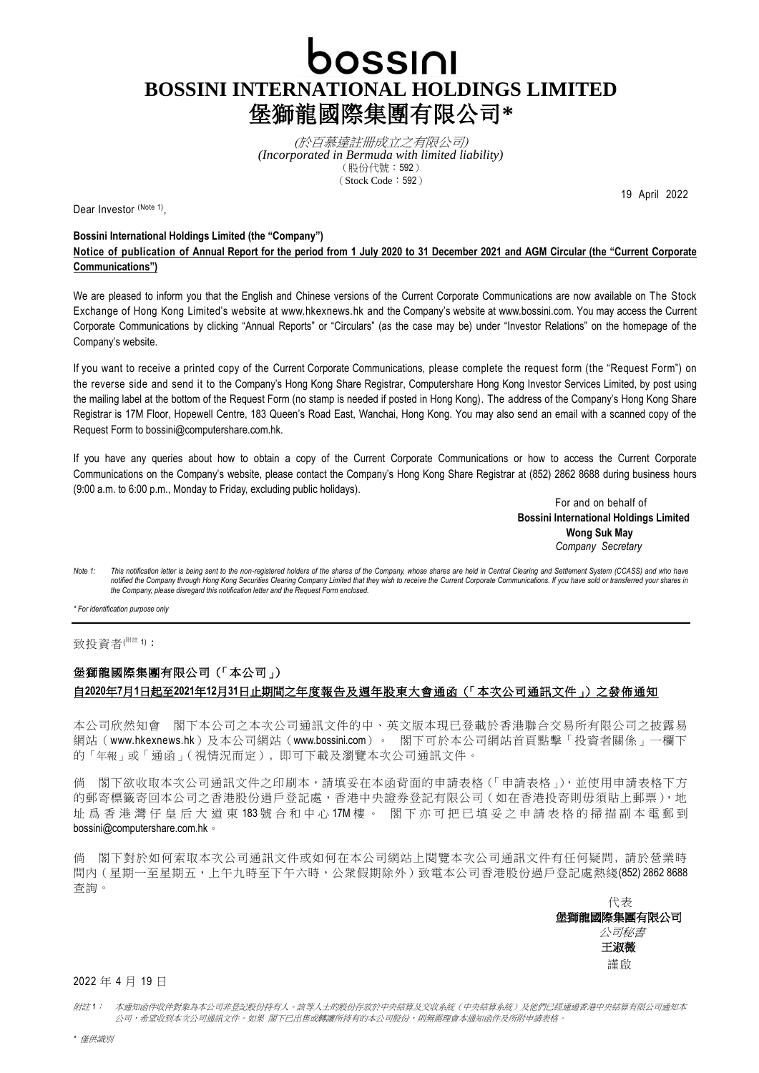## bossini **BOSSINI INTERNATIONAL HOLDINGS LIMITED** 堡獅龍國際集團有限公司**\***

(於百慕達註冊成立之有限公司) *(Incorporated in Bermuda with limited liability)* (股份代號:592) (Stock Code:592)

Dear Investor (Note 1),

19 April 2022

## **Bossini International Holdings Limited (the "Company")**

**Notice of publication of Annual Report for the period from 1 July 2020 to 31 December 2021 and AGM Circular (the "Current Corporate Communications")**

We are pleased to inform you that the English and Chinese versions of the Current Corporate Communications are now available on The Stock Exchange of Hong Kong Limited's website at [www.hkexnews.hk](http://www.hkexnews.hk/) and the Company's website at [www.bossini.com.](http://www.bossini.com/) You may access the Current Corporate Communications by clicking "Annual Reports" or "Circulars" (as the case may be) under "Investor Relations" on the homepage of the Company's website.

If you want to receive a printed copy of the Current Corporate Communications, please complete the request form (the "Request Form") on the reverse side and send it to the Company's Hong Kong Share Registrar, Computershare Hong Kong Investor Services Limited, by post using the mailing label at the bottom of the Request Form (no stamp is needed if posted in Hong Kong). The address of the Company's Hong Kong Share Registrar is 17M Floor, Hopewell Centre, 183 Queen's Road East, Wanchai, Hong Kong. You may also send an email with a scanned copy of the Request Form to [bossini@computershare.com.hk.](mailto:bossini@computershare.com.hk)

If you have any queries about how to obtain a copy of the Current Corporate Communications or how to access the Current Corporate Communications on the Company's website, please contact the Company's Hong Kong Share Registrar at (852) 2862 8688 during business hours (9:00 a.m. to 6:00 p.m., Monday to Friday, excluding public holidays).

> For and on behalf of  **Bossini International Holdings Limited Wong Suk May**  *Company Secretary*

Note 1: This notification letter is being sent to the non-registered holders of the shares of the Company, whose shares are held in Central Clearing and Settlement System (CCASS) and who have notified the Company through Hong Kong Securities Clearing Company Limited that they wish to receive the Current Corporate Communications. If you have sold or transferred your shares in *the Company, please disregard this notification letter and the Request Form enclosed.*

*\* For identification purpose only*

致投資者<sup>(附註1)</sup>:

## 堡獅龍國際集團有限公司(「本公司」) 自**2020**年**7**月**1**日起至**2021**年**12**月**31**日止期間之年度報告及週年股東大會通函(「本次公司通訊文件」)之發佈通知

本公司欣然知會 閣下本公司之本次公司通訊文件的中、英文版本現已登載於香港聯合交易所有限公司之披露易 網站([www.hkexnews.hk](http://www.hkexnews.hk/))及本公司網站([www.bossini.com](http://www.bossini.com/))。 閣下可於本公司網站首頁點擊「投資者關係」一欄下 的「年報」或「通函」(視情況而定), 即可下載及瀏覽本次公司通訊文件。

倘 閣下欲收取本次公司通訊文件之印刷本,請填妥在本函背面的申請表格 (「申請表格」),並使用申請表格下方 的郵寄標籤寄回本公司之香港股份過戶登記處,香港中央證券登記有限公司(如在香港投寄則毋須貼上郵票),地 址 爲 香 港 灣 仔 皇 后 大 道 東 183 號 合 和 中 心 17M 樓 。 閣 下 亦 可 把 已 填 妥 之 申 請 表 格 的 掃 描 副 本 電 郵 到 [bossini@computershare.com.hk](mailto:bossini@computershare.com.hk)。

倘 閣下對於如何索取本次公司通訊文件或如何在本公司網站上閱覽本次公司通訊文件有任何疑問, 請於營業時 間内(星期一至星期五,上午九時至下午六時,公衆假期除外)致電本公司香港股份過戶登記處熱綫(852) 2862 8688 查詢。

代表 堡獅龍國際集團有限公司 公司秘書 王淑薇

謹啟

2022 年 4 月 19 日

附註 *1*: 本通知函件收件對象為本公司非登記股份持有人。該等人士的股份存放於中央結算及交收系統(中央結算系統)及他們已經通過香港中央結算有限公司通知本 公司,希望收到本次公司通訊文件。如果 閣下已出售或轉讓所持有的本公司股份,則無需理會本通知函件及所附申請表格。